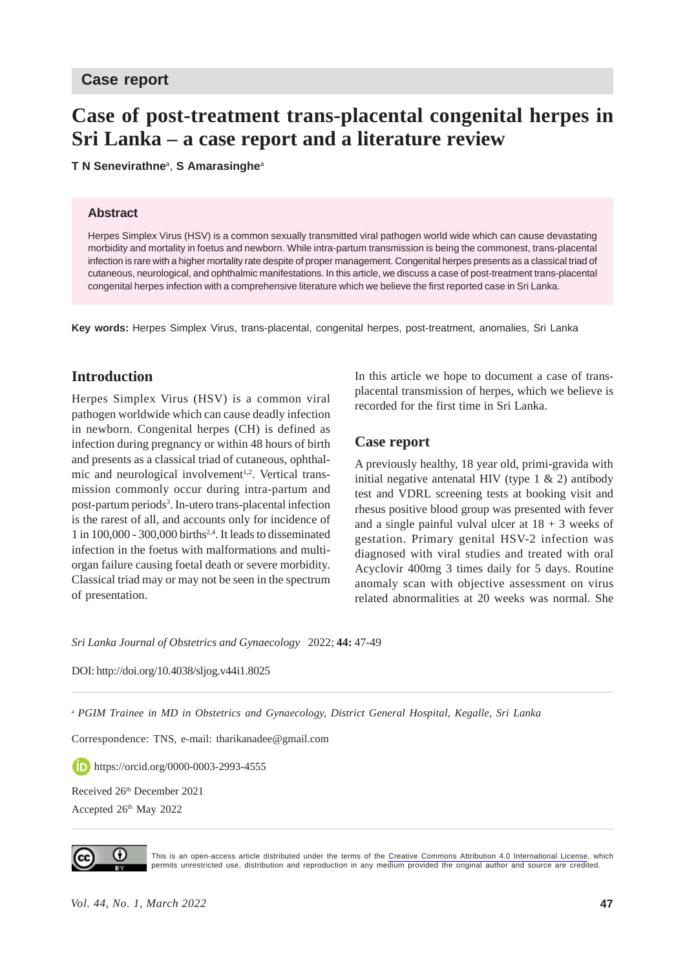#### **Case report**

# **Case of post-treatment trans-placental congenital herpes in Sri Lanka – a case report and a literature review**

**T N Senevirathne**<sup>a</sup> , **S Amarasinghe**<sup>a</sup>

#### **Abstract**

Herpes Simplex Virus (HSV) is a common sexually transmitted viral pathogen world wide which can cause devastating morbidity and mortality in foetus and newborn. While intra-partum transmission is being the commonest, trans-placental infection is rare with a higher mortality rate despite of proper management. Congenital herpes presents as a classical triad of cutaneous, neurological, and ophthalmic manifestations. In this article, we discuss a case of post-treatment trans-placental congenital herpes infection with a comprehensive literature which we believe the first reported case in Sri Lanka.

**Key words:** Herpes Simplex Virus, trans-placental, congenital herpes, post-treatment, anomalies, Sri Lanka

## **Introduction**

Herpes Simplex Virus (HSV) is a common viral pathogen worldwide which can cause deadly infection in newborn. Congenital herpes (CH) is defined as infection during pregnancy or within 48 hours of birth and presents as a classical triad of cutaneous, ophthalmic and neurological involvement<sup>1,2</sup>. Vertical transmission commonly occur during intra-partum and post-partum periods<sup>3</sup>. In-utero trans-placental infection is the rarest of all, and accounts only for incidence of 1 in 100,000 - 300,000 births2,4. It leads to disseminated infection in the foetus with malformations and multiorgan failure causing foetal death or severe morbidity. Classical triad may or may not be seen in the spectrum of presentation.

In this article we hope to document a case of transplacental transmission of herpes, which we believe is recorded for the first time in Sri Lanka.

#### **Case report**

A previously healthy, 18 year old, primi-gravida with initial negative antenatal HIV (type  $1 \& 2$ ) antibody test and VDRL screening tests at booking visit and rhesus positive blood group was presented with fever and a single painful vulval ulcer at  $18 + 3$  weeks of gestation. Primary genital HSV-2 infection was diagnosed with viral studies and treated with oral Acyclovir 400mg 3 times daily for 5 days. Routine anomaly scan with objective assessment on virus related abnormalities at 20 weeks was normal. She

*Sri Lanka Journal of Obstetrics and Gynaecology* 2022; **44:** 47-49

DOI: http://doi.org/10.4038/sljog.v44i1.8025

<sup>a</sup> *PGIM Trainee in MD in Obstetrics and Gynaecology, District General Hospital, Kegalle, Sri Lanka*

Correspondence: TNS, e-mail: tharikanadee@gmail.com

**https://orcid.org/0000-0003-2993-4555** 

Received 26<sup>th</sup> December 2021 Accepted 26<sup>th</sup> May 2022



This is an open-access article distributed under the terms of the [Creative Commons Attribution 4.0 International License](https://creativecommons.org/licenses/by/4.0/), which permits unrestricted use, distribution and reproduction in any medium provided the original author and source are credited.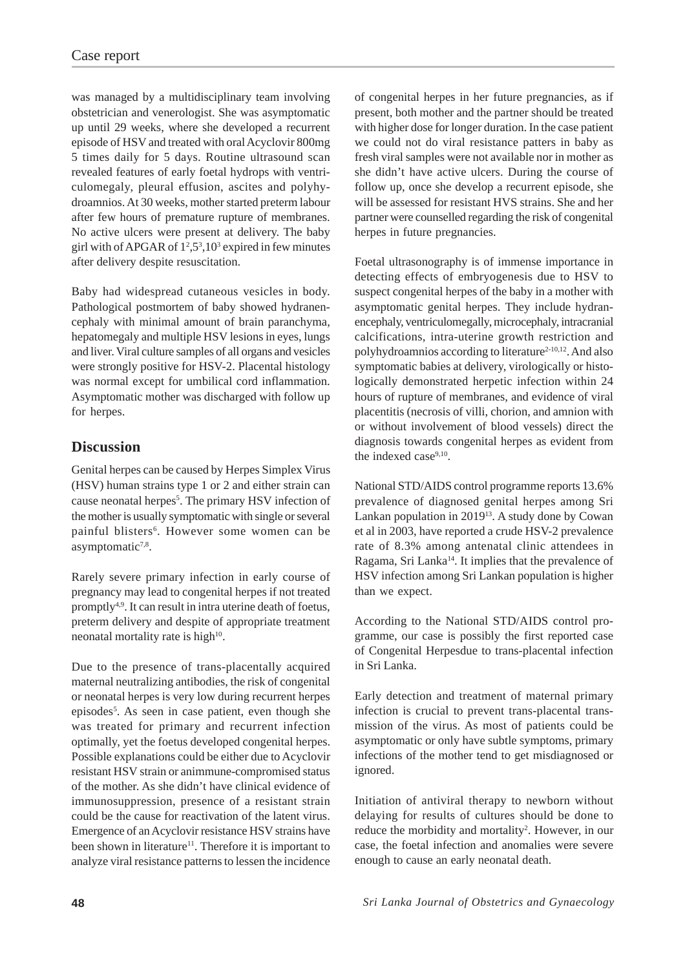was managed by a multidisciplinary team involving obstetrician and venerologist. She was asymptomatic up until 29 weeks, where she developed a recurrent episode of HSV and treated with oral Acyclovir 800mg 5 times daily for 5 days. Routine ultrasound scan revealed features of early foetal hydrops with ventriculomegaly, pleural effusion, ascites and polyhydroamnios. At 30 weeks, mother started preterm labour after few hours of premature rupture of membranes. No active ulcers were present at delivery. The baby girl with of APGAR of  $1^2$ ,  $5^3$ ,  $10^3$  expired in few minutes after delivery despite resuscitation.

Baby had widespread cutaneous vesicles in body. Pathological postmortem of baby showed hydranencephaly with minimal amount of brain paranchyma, hepatomegaly and multiple HSV lesions in eyes, lungs and liver. Viral culture samples of all organs and vesicles were strongly positive for HSV-2. Placental histology was normal except for umbilical cord inflammation. Asymptomatic mother was discharged with follow up for herpes.

# **Discussion**

Genital herpes can be caused by Herpes Simplex Virus (HSV) human strains type 1 or 2 and either strain can cause neonatal herpes<sup>5</sup>. The primary HSV infection of the mother is usually symptomatic with single or several painful blisters<sup>6</sup>. However some women can be asymptomatic $7,8$ .

Rarely severe primary infection in early course of pregnancy may lead to congenital herpes if not treated promptly4,9. It can result in intra uterine death of foetus, preterm delivery and despite of appropriate treatment neonatal mortality rate is high<sup>10</sup>.

Due to the presence of trans-placentally acquired maternal neutralizing antibodies, the risk of congenital or neonatal herpes is very low during recurrent herpes episodes<sup>5</sup>. As seen in case patient, even though she was treated for primary and recurrent infection optimally, yet the foetus developed congenital herpes. Possible explanations could be either due to Acyclovir resistant HSV strain or animmune-compromised status of the mother. As she didn't have clinical evidence of immunosuppression, presence of a resistant strain could be the cause for reactivation of the latent virus. Emergence of an Acyclovir resistance HSV strains have been shown in literature<sup>11</sup>. Therefore it is important to analyze viral resistance patterns to lessen the incidence

of congenital herpes in her future pregnancies, as if present, both mother and the partner should be treated with higher dose for longer duration. In the case patient we could not do viral resistance patters in baby as fresh viral samples were not available nor in mother as she didn't have active ulcers. During the course of follow up, once she develop a recurrent episode, she will be assessed for resistant HVS strains. She and her partner were counselled regarding the risk of congenital herpes in future pregnancies.

Foetal ultrasonography is of immense importance in detecting effects of embryogenesis due to HSV to suspect congenital herpes of the baby in a mother with asymptomatic genital herpes. They include hydranencephaly, ventriculomegally, microcephaly, intracranial calcifications, intra-uterine growth restriction and polyhydroamnios according to literature<sup>2-10,12</sup>. And also symptomatic babies at delivery, virologically or histologically demonstrated herpetic infection within 24 hours of rupture of membranes, and evidence of viral placentitis (necrosis of villi, chorion, and amnion with or without involvement of blood vessels) direct the diagnosis towards congenital herpes as evident from the indexed case<sup>9,10</sup>.

National STD/AIDS control programme reports 13.6% prevalence of diagnosed genital herpes among Sri Lankan population in 201913. A study done by Cowan et al in 2003, have reported a crude HSV-2 prevalence rate of 8.3% among antenatal clinic attendees in Ragama, Sri Lanka<sup>14</sup>. It implies that the prevalence of HSV infection among Sri Lankan population is higher than we expect.

According to the National STD/AIDS control programme, our case is possibly the first reported case of Congenital Herpesdue to trans-placental infection in Sri Lanka.

Early detection and treatment of maternal primary infection is crucial to prevent trans-placental transmission of the virus. As most of patients could be asymptomatic or only have subtle symptoms, primary infections of the mother tend to get misdiagnosed or ignored.

Initiation of antiviral therapy to newborn without delaying for results of cultures should be done to reduce the morbidity and mortality<sup>2</sup>. However, in our case, the foetal infection and anomalies were severe enough to cause an early neonatal death.